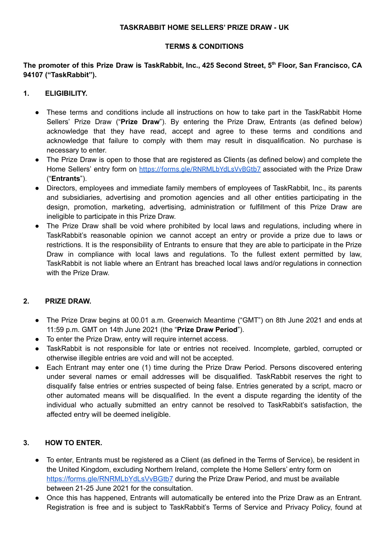#### **TASKRABBIT HOME SELLERS' PRIZE DRAW - UK**

#### **TERMS & CONDITIONS**

The promoter of this Prize Draw is TaskRabbit, Inc., 425 Second Street, 5<sup>th</sup> Floor, San Francisco, CA **94107 ("TaskRabbit").**

## **1. ELIGIBILITY.**

- These terms and conditions include all instructions on how to take part in the TaskRabbit Home Sellers' Prize Draw ("**Prize Draw**"). By entering the Prize Draw, Entrants (as defined below) acknowledge that they have read, accept and agree to these terms and conditions and acknowledge that failure to comply with them may result in disqualification. No purchase is necessary to enter.
- The Prize Draw is open to those that are registered as Clients (as defined below) and complete the Home Sellers' entry form on <https://forms.gle/RNRMLbYdLsVvBGtb7> associated with the Prize Draw ("**Entrants**").
- Directors, employees and immediate family members of employees of TaskRabbit, Inc., its parents and subsidiaries, advertising and promotion agencies and all other entities participating in the design, promotion, marketing, advertising, administration or fulfillment of this Prize Draw are ineligible to participate in this Prize Draw.
- The Prize Draw shall be void where prohibited by local laws and regulations, including where in TaskRabbit's reasonable opinion we cannot accept an entry or provide a prize due to laws or restrictions. It is the responsibility of Entrants to ensure that they are able to participate in the Prize Draw in compliance with local laws and regulations. To the fullest extent permitted by law, TaskRabbit is not liable where an Entrant has breached local laws and/or regulations in connection with the Prize Draw.

### **2. PRIZE DRAW.**

- The Prize Draw begins at 00.01 a.m. Greenwich Meantime ("GMT") on 8th June 2021 and ends at 11:59 p.m. GMT on 14th June 2021 (the "**Prize Draw Period**").
- To enter the Prize Draw, entry will require internet access.
- TaskRabbit is not responsible for late or entries not received. Incomplete, garbled, corrupted or otherwise illegible entries are void and will not be accepted.
- Each Entrant may enter one (1) time during the Prize Draw Period. Persons discovered entering under several names or email addresses will be disqualified. TaskRabbit reserves the right to disqualify false entries or entries suspected of being false. Entries generated by a script, macro or other automated means will be disqualified. In the event a dispute regarding the identity of the individual who actually submitted an entry cannot be resolved to TaskRabbit's satisfaction, the affected entry will be deemed ineligible.

# **3. HOW TO ENTER.**

- To enter, Entrants must be registered as a Client (as defined in the Terms of Service), be resident in the United Kingdom, excluding Northern Ireland, complete the Home Sellers' entry form on <https://forms.gle/RNRMLbYdLsVvBGtb7> during the Prize Draw Period, and must be available between 21-25 June 2021 for the consultation.
- Once this has happened, Entrants will automatically be entered into the Prize Draw as an Entrant. Registration is free and is subject to TaskRabbit's Terms of Service and Privacy Policy, found at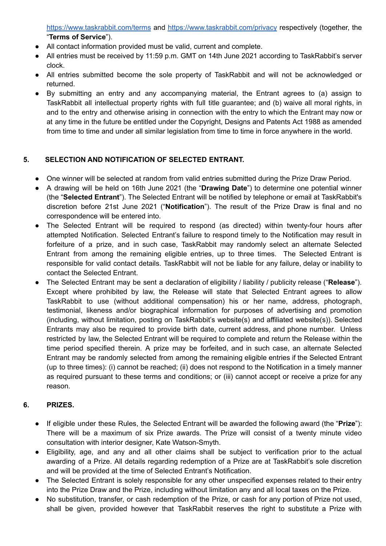<https://www.taskrabbit.com/terms> and <https://www.taskrabbit.com/privacy> respectively (together, the "**Terms of Service**").

- All contact information provided must be valid, current and complete.
- All entries must be received by 11:59 p.m. GMT on 14th June 2021 according to TaskRabbit's server clock.
- All entries submitted become the sole property of TaskRabbit and will not be acknowledged or returned.
- By submitting an entry and any accompanying material, the Entrant agrees to (a) assign to TaskRabbit all intellectual property rights with full title guarantee; and (b) waive all moral rights, in and to the entry and otherwise arising in connection with the entry to which the Entrant may now or at any time in the future be entitled under the Copyright, Designs and Patents Act 1988 as amended from time to time and under all similar legislation from time to time in force anywhere in the world.

# **5. SELECTION AND NOTIFICATION OF SELECTED ENTRANT.**

- One winner will be selected at random from valid entries submitted during the Prize Draw Period.
- A drawing will be held on 16th June 2021 (the "**Drawing Date**") to determine one potential winner (the "**Selected Entrant**"). The Selected Entrant will be notified by telephone or email at TaskRabbit's discretion before 21st June 2021 ("**Notification**"). The result of the Prize Draw is final and no correspondence will be entered into.
- The Selected Entrant will be required to respond (as directed) within twenty-four hours after attempted Notification. Selected Entrant's failure to respond timely to the Notification may result in forfeiture of a prize, and in such case, TaskRabbit may randomly select an alternate Selected Entrant from among the remaining eligible entries, up to three times. The Selected Entrant is responsible for valid contact details. TaskRabbit will not be liable for any failure, delay or inability to contact the Selected Entrant.
- The Selected Entrant may be sent a declaration of eligibility / liability / publicity release ("**Release**"). Except where prohibited by law, the Release will state that Selected Entrant agrees to allow TaskRabbit to use (without additional compensation) his or her name, address, photograph, testimonial, likeness and/or biographical information for purposes of advertising and promotion (including, without limitation, posting on TaskRabbit's website(s) and affiliated website(s)). Selected Entrants may also be required to provide birth date, current address, and phone number. Unless restricted by law, the Selected Entrant will be required to complete and return the Release within the time period specified therein. A prize may be forfeited, and in such case, an alternate Selected Entrant may be randomly selected from among the remaining eligible entries if the Selected Entrant (up to three times): (i) cannot be reached; (ii) does not respond to the Notification in a timely manner as required pursuant to these terms and conditions; or (iii) cannot accept or receive a prize for any reason.

### **6. PRIZES.**

- If eligible under these Rules, the Selected Entrant will be awarded the following award (the "**Prize**"): There will be a maximum of six Prize awards. The Prize will consist of a twenty minute video consultation with interior designer, Kate Watson-Smyth.
- Eligibility, age, and any and all other claims shall be subject to verification prior to the actual awarding of a Prize. All details regarding redemption of a Prize are at TaskRabbit's sole discretion and will be provided at the time of Selected Entrant's Notification.
- The Selected Entrant is solely responsible for any other unspecified expenses related to their entry into the Prize Draw and the Prize, including without limitation any and all local taxes on the Prize.
- No substitution, transfer, or cash redemption of the Prize, or cash for any portion of Prize not used, shall be given, provided however that TaskRabbit reserves the right to substitute a Prize with